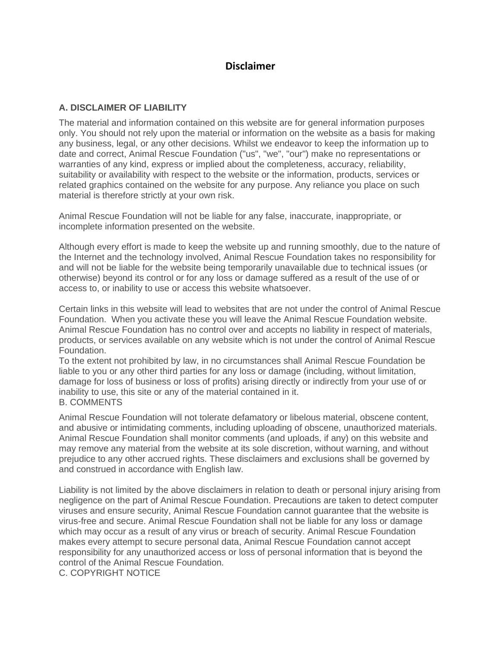## **Disclaimer**

## **A. DISCLAIMER OF LIABILITY**

The material and information contained on this website are for general information purposes only. You should not rely upon the material or information on the website as a basis for making any business, legal, or any other decisions. Whilst we endeavor to keep the information up to date and correct, Animal Rescue Foundation ("us", "we", "our") make no representations or warranties of any kind, express or implied about the completeness, accuracy, reliability, suitability or availability with respect to the website or the information, products, services or related graphics contained on the website for any purpose. Any reliance you place on such material is therefore strictly at your own risk.

Animal Rescue Foundation will not be liable for any false, inaccurate, inappropriate, or incomplete information presented on the website.

Although every effort is made to keep the website up and running smoothly, due to the nature of the Internet and the technology involved, Animal Rescue Foundation takes no responsibility for and will not be liable for the website being temporarily unavailable due to technical issues (or otherwise) beyond its control or for any loss or damage suffered as a result of the use of or access to, or inability to use or access this website whatsoever.

Certain links in this website will lead to websites that are not under the control of Animal Rescue Foundation. When you activate these you will leave the Animal Rescue Foundation website. Animal Rescue Foundation has no control over and accepts no liability in respect of materials, products, or services available on any website which is not under the control of Animal Rescue Foundation.

To the extent not prohibited by law, in no circumstances shall Animal Rescue Foundation be liable to you or any other third parties for any loss or damage (including, without limitation, damage for loss of business or loss of profits) arising directly or indirectly from your use of or inability to use, this site or any of the material contained in it. B. COMMENTS

Animal Rescue Foundation will not tolerate defamatory or libelous material, obscene content, and abusive or intimidating comments, including uploading of obscene, unauthorized materials. Animal Rescue Foundation shall monitor comments (and uploads, if any) on this website and may remove any material from the website at its sole discretion, without warning, and without prejudice to any other accrued rights. These disclaimers and exclusions shall be governed by and construed in accordance with English law.

Liability is not limited by the above disclaimers in relation to death or personal injury arising from negligence on the part of Animal Rescue Foundation. Precautions are taken to detect computer viruses and ensure security, Animal Rescue Foundation cannot guarantee that the website is virus-free and secure. Animal Rescue Foundation shall not be liable for any loss or damage which may occur as a result of any virus or breach of security. Animal Rescue Foundation makes every attempt to secure personal data, Animal Rescue Foundation cannot accept responsibility for any unauthorized access or loss of personal information that is beyond the control of the Animal Rescue Foundation.

C. COPYRIGHT NOTICE